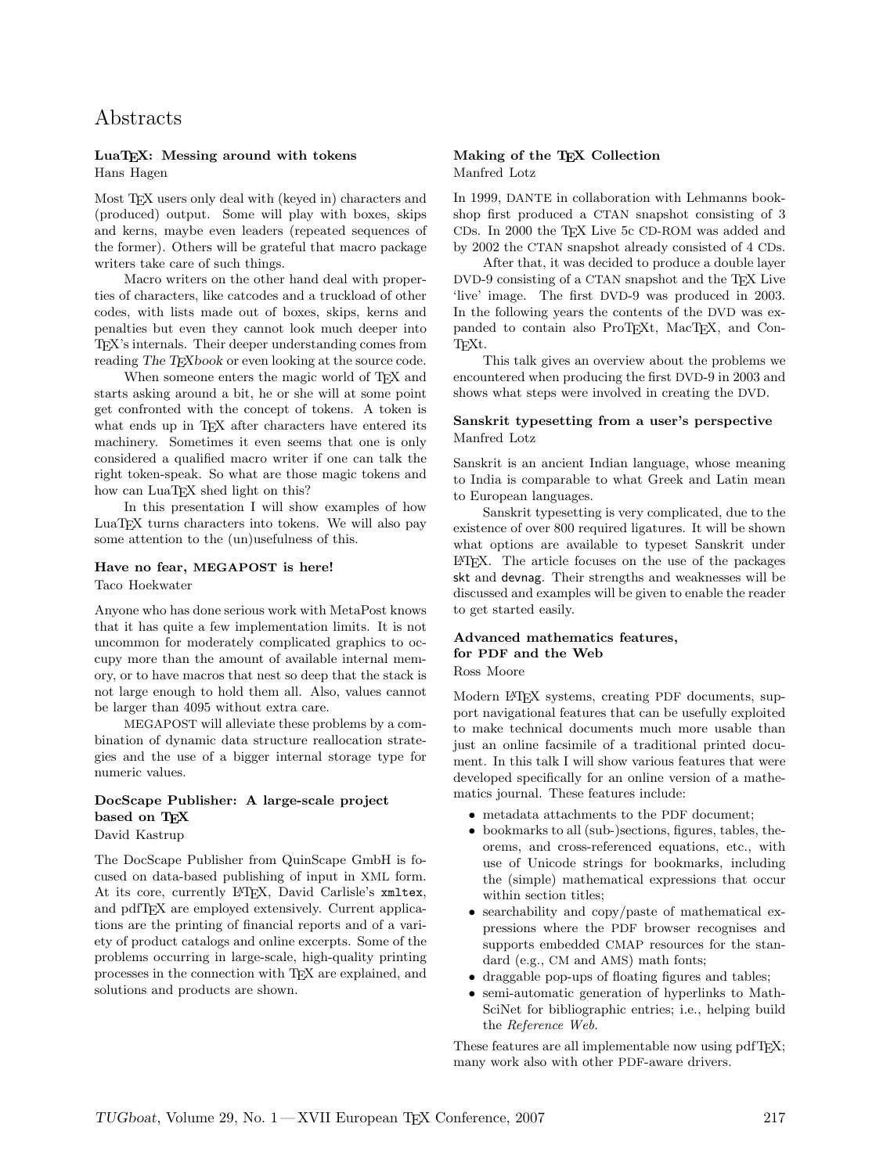# Abstracts

### LuaTEX: Messing around with tokens Hans Hagen

Most T<sub>E</sub>X users only deal with (keyed in) characters and (produced) output. Some will play with boxes, skips and kerns, maybe even leaders (repeated sequences of the former). Others will be grateful that macro package writers take care of such things.

Macro writers on the other hand deal with properties of characters, like catcodes and a truckload of other codes, with lists made out of boxes, skips, kerns and penalties but even they cannot look much deeper into TEX's internals. Their deeper understanding comes from reading The TEXbook or even looking at the source code.

When someone enters the magic world of T<sub>E</sub>X and starts asking around a bit, he or she will at some point get confronted with the concept of tokens. A token is what ends up in TFX after characters have entered its machinery. Sometimes it even seems that one is only considered a qualified macro writer if one can talk the right token-speak. So what are those magic tokens and how can LuaTEX shed light on this?

In this presentation I will show examples of how LuaT<sub>EX</sub> turns characters into tokens. We will also pay some attention to the (un)usefulness of this.

#### Have no fear, MEGAPOST is here!

Taco Hoekwater

Anyone who has done serious work with MetaPost knows that it has quite a few implementation limits. It is not uncommon for moderately complicated graphics to occupy more than the amount of available internal memory, or to have macros that nest so deep that the stack is not large enough to hold them all. Also, values cannot be larger than 4095 without extra care.

MEGAPOST will alleviate these problems by a combination of dynamic data structure reallocation strategies and the use of a bigger internal storage type for numeric values.

# DocScape Publisher: A large-scale project based on TFX

David Kastrup

The DocScape Publisher from QuinScape GmbH is focused on data-based publishing of input in XML form. At its core, currently LATEX, David Carlisle's xmltex, and pdfTEX are employed extensively. Current applications are the printing of financial reports and of a variety of product catalogs and online excerpts. Some of the problems occurring in large-scale, high-quality printing processes in the connection with TEX are explained, and solutions and products are shown.

### Making of the TEX Collection Manfred Lotz

In 1999, DANTE in collaboration with Lehmanns bookshop first produced a CTAN snapshot consisting of 3 CDs. In 2000 the TEX Live 5c CD-ROM was added and by 2002 the CTAN snapshot already consisted of 4 CDs.

After that, it was decided to produce a double layer DVD-9 consisting of a CTAN snapshot and the T<sub>EX</sub> Live 'live' image. The first DVD-9 was produced in 2003. In the following years the contents of the DVD was expanded to contain also ProT<sub>EXt</sub>, MacT<sub>EX</sub>, and Con-T<sub>F</sub>X<sub>t</sub>.

This talk gives an overview about the problems we encountered when producing the first DVD-9 in 2003 and shows what steps were involved in creating the DVD.

### Sanskrit typesetting from a user's perspective Manfred Lotz

Sanskrit is an ancient Indian language, whose meaning to India is comparable to what Greek and Latin mean to European languages.

Sanskrit typesetting is very complicated, due to the existence of over 800 required ligatures. It will be shown what options are available to typeset Sanskrit under LATEX. The article focuses on the use of the packages skt and devnag. Their strengths and weaknesses will be discussed and examples will be given to enable the reader to get started easily.

# Advanced mathematics features, for PDF and the Web

Ross Moore

Modern L<sup>AT</sup>FX systems, creating PDF documents, support navigational features that can be usefully exploited to make technical documents much more usable than just an online facsimile of a traditional printed document. In this talk I will show various features that were developed specifically for an online version of a mathematics journal. These features include:

- metadata attachments to the PDF document;
- bookmarks to all (sub-)sections, figures, tables, theorems, and cross-referenced equations, etc., with use of Unicode strings for bookmarks, including the (simple) mathematical expressions that occur within section titles;
- searchability and copy/paste of mathematical expressions where the PDF browser recognises and supports embedded CMAP resources for the standard (e.g., CM and AMS) math fonts;
- draggable pop-ups of floating figures and tables;
- semi-automatic generation of hyperlinks to Math-SciNet for bibliographic entries; i.e., helping build the Reference Web.

These features are all implementable now using pdfT<sub>F</sub>X; many work also with other PDF-aware drivers.